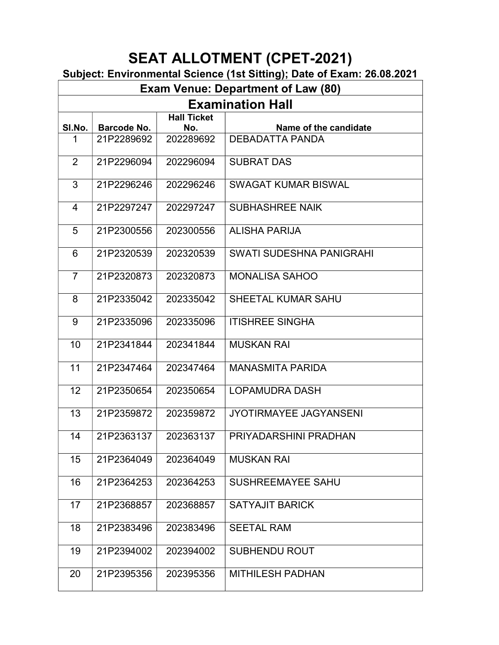#### Subject: Environmental Science (1st Sitting); Date of Exam: 26.08.2021

| <b>Exam Venue: Department of Law (80)</b> |                                                                          |           |                               |  |  |  |  |
|-------------------------------------------|--------------------------------------------------------------------------|-----------|-------------------------------|--|--|--|--|
|                                           | <b>Examination Hall</b>                                                  |           |                               |  |  |  |  |
| SI.No.                                    | <b>Hall Ticket</b><br><b>Barcode No.</b><br>Name of the candidate<br>No. |           |                               |  |  |  |  |
| 1                                         | 21P2289692                                                               | 202289692 | DEBADATTA PANDA               |  |  |  |  |
|                                           |                                                                          |           |                               |  |  |  |  |
| $\overline{2}$                            | 21P2296094                                                               | 202296094 | <b>SUBRAT DAS</b>             |  |  |  |  |
| 3                                         | 21P2296246                                                               | 202296246 | <b>SWAGAT KUMAR BISWAL</b>    |  |  |  |  |
| 4                                         | 21P2297247                                                               | 202297247 | <b>SUBHASHREE NAIK</b>        |  |  |  |  |
| 5                                         | 21P2300556                                                               | 202300556 | <b>ALISHA PARIJA</b>          |  |  |  |  |
| 6                                         | 21P2320539                                                               | 202320539 | SWATI SUDESHNA PANIGRAHI      |  |  |  |  |
| $\overline{7}$                            | 21P2320873                                                               | 202320873 | <b>MONALISA SAHOO</b>         |  |  |  |  |
| 8                                         | 21P2335042                                                               | 202335042 | SHEETAL KUMAR SAHU            |  |  |  |  |
| 9                                         | 21P2335096                                                               | 202335096 | <b>ITISHREE SINGHA</b>        |  |  |  |  |
| 10                                        | 21P2341844                                                               | 202341844 | <b>MUSKAN RAI</b>             |  |  |  |  |
| 11                                        | 21P2347464                                                               | 202347464 | <b>MANASMITA PARIDA</b>       |  |  |  |  |
| 12                                        | 21P2350654                                                               | 202350654 | <b>LOPAMUDRA DASH</b>         |  |  |  |  |
| 13                                        | 21P2359872                                                               | 202359872 | <b>JYOTIRMAYEE JAGYANSENI</b> |  |  |  |  |
| 14                                        | 21P2363137                                                               | 202363137 | PRIYADARSHINI PRADHAN         |  |  |  |  |
| 15                                        | 21P2364049                                                               | 202364049 | <b>MUSKAN RAI</b>             |  |  |  |  |
| 16                                        | 21P2364253                                                               | 202364253 | <b>SUSHREEMAYEE SAHU</b>      |  |  |  |  |
| 17                                        | 21P2368857                                                               | 202368857 | <b>SATYAJIT BARICK</b>        |  |  |  |  |
| 18                                        | 21P2383496                                                               | 202383496 | <b>SEETAL RAM</b>             |  |  |  |  |
| 19                                        | 21P2394002                                                               | 202394002 | <b>SUBHENDU ROUT</b>          |  |  |  |  |
| 20                                        | 21P2395356                                                               | 202395356 | <b>MITHILESH PADHAN</b>       |  |  |  |  |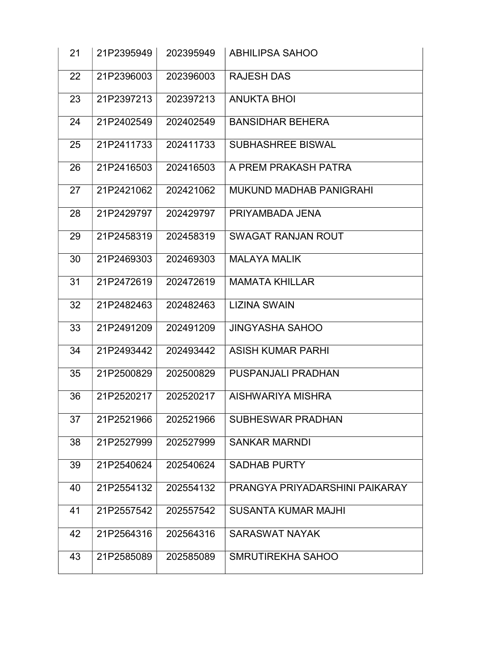| 21 | 21P2395949 | 202395949 | <b>ABHILIPSA SAHOO</b>         |
|----|------------|-----------|--------------------------------|
| 22 | 21P2396003 | 202396003 | <b>RAJESH DAS</b>              |
| 23 | 21P2397213 | 202397213 | <b>ANUKTA BHOI</b>             |
| 24 | 21P2402549 | 202402549 | <b>BANSIDHAR BEHERA</b>        |
| 25 | 21P2411733 | 202411733 | <b>SUBHASHREE BISWAL</b>       |
| 26 | 21P2416503 | 202416503 | A PREM PRAKASH PATRA           |
| 27 | 21P2421062 | 202421062 | <b>MUKUND MADHAB PANIGRAHI</b> |
| 28 | 21P2429797 | 202429797 | PRIYAMBADA JENA                |
| 29 | 21P2458319 | 202458319 | <b>SWAGAT RANJAN ROUT</b>      |
| 30 | 21P2469303 | 202469303 | <b>MALAYA MALIK</b>            |
| 31 | 21P2472619 | 202472619 | <b>MAMATA KHILLAR</b>          |
| 32 | 21P2482463 | 202482463 | <b>LIZINA SWAIN</b>            |
| 33 | 21P2491209 | 202491209 | <b>JINGYASHA SAHOO</b>         |
| 34 | 21P2493442 | 202493442 | <b>ASISH KUMAR PARHI</b>       |
| 35 | 21P2500829 | 202500829 | PUSPANJALI PRADHAN             |
| 36 | 21P2520217 | 202520217 | AISHWARIYA MISHRA              |
| 37 | 21P2521966 | 202521966 | <b>SUBHESWAR PRADHAN</b>       |
| 38 | 21P2527999 | 202527999 | <b>SANKAR MARNDI</b>           |
| 39 | 21P2540624 | 202540624 | <b>SADHAB PURTY</b>            |
| 40 | 21P2554132 | 202554132 | PRANGYA PRIYADARSHINI PAIKARAY |
| 41 | 21P2557542 | 202557542 | <b>SUSANTA KUMAR MAJHI</b>     |
| 42 | 21P2564316 | 202564316 | <b>SARASWAT NAYAK</b>          |
| 43 | 21P2585089 | 202585089 | SMRUTIREKHA SAHOO              |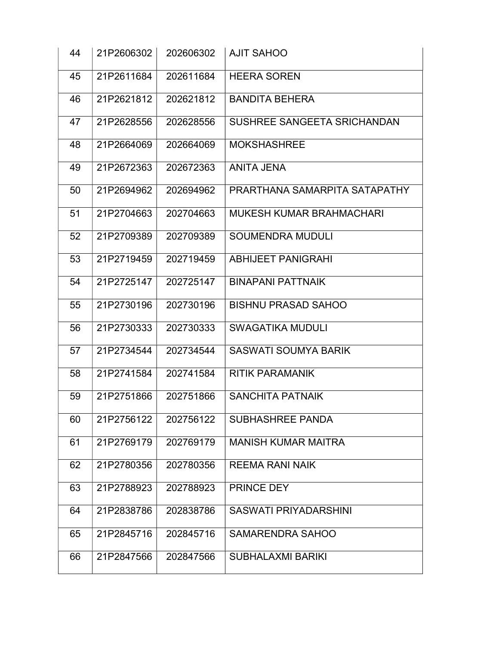| 44 | 21P2606302 | 202606302 | <b>AJIT SAHOO</b>               |  |
|----|------------|-----------|---------------------------------|--|
| 45 | 21P2611684 | 202611684 | <b>HEERA SOREN</b>              |  |
| 46 | 21P2621812 | 202621812 | <b>BANDITA BEHERA</b>           |  |
| 47 | 21P2628556 | 202628556 | SUSHREE SANGEETA SRICHANDAN     |  |
| 48 | 21P2664069 | 202664069 | <b>MOKSHASHREE</b>              |  |
| 49 | 21P2672363 | 202672363 | <b>ANITA JENA</b>               |  |
| 50 | 21P2694962 | 202694962 | PRARTHANA SAMARPITA SATAPATHY   |  |
| 51 | 21P2704663 | 202704663 | <b>MUKESH KUMAR BRAHMACHARI</b> |  |
| 52 | 21P2709389 | 202709389 | <b>SOUMENDRA MUDULI</b>         |  |
| 53 | 21P2719459 | 202719459 | <b>ABHIJEET PANIGRAHI</b>       |  |
| 54 | 21P2725147 | 202725147 | <b>BINAPANI PATTNAIK</b>        |  |
| 55 | 21P2730196 | 202730196 | <b>BISHNU PRASAD SAHOO</b>      |  |
| 56 | 21P2730333 | 202730333 | <b>SWAGATIKA MUDULI</b>         |  |
| 57 | 21P2734544 | 202734544 | <b>SASWATI SOUMYA BARIK</b>     |  |
| 58 | 21P2741584 | 202741584 | <b>RITIK PARAMANIK</b>          |  |
| 59 | 21P2751866 | 202751866 | <b>SANCHITA PATNAIK</b>         |  |
| 60 | 21P2756122 | 202756122 | <b>SUBHASHREE PANDA</b>         |  |
| 61 | 21P2769179 | 202769179 | <b>MANISH KUMAR MAITRA</b>      |  |
| 62 | 21P2780356 | 202780356 | <b>REEMA RANI NAIK</b>          |  |
| 63 | 21P2788923 | 202788923 | PRINCE DEY                      |  |
| 64 | 21P2838786 | 202838786 | <b>SASWATI PRIYADARSHINI</b>    |  |
| 65 | 21P2845716 | 202845716 | <b>SAMARENDRA SAHOO</b>         |  |
| 66 | 21P2847566 | 202847566 | <b>SUBHALAXMI BARIKI</b>        |  |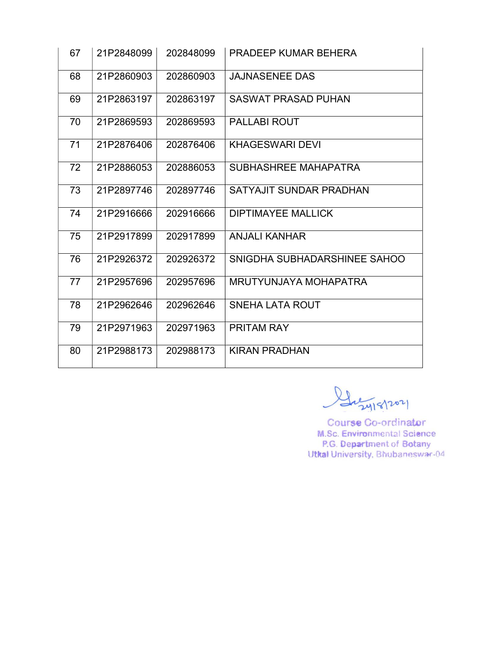| 67 | 21P2848099 | 202848099 | <b>PRADEEP KUMAR BEHERA</b>  |
|----|------------|-----------|------------------------------|
| 68 | 21P2860903 | 202860903 | <b>JAJNASENEE DAS</b>        |
| 69 | 21P2863197 | 202863197 | <b>SASWAT PRASAD PUHAN</b>   |
| 70 | 21P2869593 | 202869593 | <b>PALLABI ROUT</b>          |
| 71 | 21P2876406 | 202876406 | <b>KHAGESWARI DEVI</b>       |
| 72 | 21P2886053 | 202886053 | SUBHASHREE MAHAPATRA         |
| 73 | 21P2897746 | 202897746 | SATYAJIT SUNDAR PRADHAN      |
| 74 | 21P2916666 | 202916666 | <b>DIPTIMAYEE MALLICK</b>    |
| 75 | 21P2917899 | 202917899 | <b>ANJALI KANHAR</b>         |
| 76 | 21P2926372 | 202926372 | SNIGDHA SUBHADARSHINEE SAHOO |
| 77 | 21P2957696 | 202957696 | MRUTYUNJAYA MOHAPATRA        |
| 78 | 21P2962646 | 202962646 | <b>SNEHA LATA ROUT</b>       |
| 79 | 21P2971963 | 202971963 | PRITAM RAY                   |
| 80 | 21P2988173 | 202988173 | <b>KIRAN PRADHAN</b>         |

Guzy18/2021

Course Co-ordinator M.Sc. Environmental Science P.G. Department of Botany<br>Utkal University, Bhubaneswar-04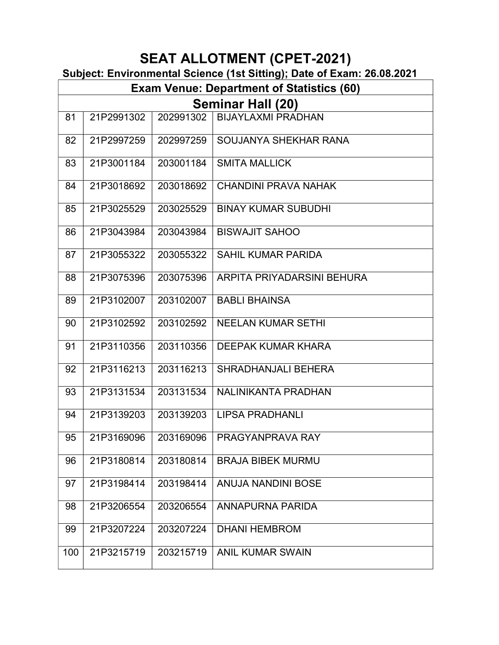#### Subject: Environmental Science (1st Sitting); Date of Exam: 26.08.2021

|     | ,,,,,,,,,,<br><b>Exam Venue: Department of Statistics (60)</b> |           |                             |  |  |  |  |
|-----|----------------------------------------------------------------|-----------|-----------------------------|--|--|--|--|
|     | <b>Seminar Hall (20)</b>                                       |           |                             |  |  |  |  |
| 81  | 21P2991302                                                     | 202991302 | <b>BIJAYLAXMI PRADHAN</b>   |  |  |  |  |
| 82  | 21P2997259                                                     | 202997259 | SOUJANYA SHEKHAR RANA       |  |  |  |  |
| 83  | 21P3001184                                                     | 203001184 | <b>SMITA MALLICK</b>        |  |  |  |  |
| 84  | 21P3018692                                                     | 203018692 | <b>CHANDINI PRAVA NAHAK</b> |  |  |  |  |
| 85  | 21P3025529                                                     | 203025529 | <b>BINAY KUMAR SUBUDHI</b>  |  |  |  |  |
| 86  | 21P3043984                                                     | 203043984 | <b>BISWAJIT SAHOO</b>       |  |  |  |  |
| 87  | 21P3055322                                                     | 203055322 | <b>SAHIL KUMAR PARIDA</b>   |  |  |  |  |
| 88  | 21P3075396                                                     | 203075396 | ARPITA PRIYADARSINI BEHURA  |  |  |  |  |
| 89  | 21P3102007                                                     | 203102007 | <b>BABLI BHAINSA</b>        |  |  |  |  |
| 90  | 21P3102592                                                     | 203102592 | <b>NEELAN KUMAR SETHI</b>   |  |  |  |  |
| 91  | 21P3110356                                                     | 203110356 | <b>DEEPAK KUMAR KHARA</b>   |  |  |  |  |
| 92  | 21P3116213                                                     | 203116213 | SHRADHANJALI BEHERA         |  |  |  |  |
| 93  | 21P3131534                                                     | 203131534 | NALINIKANTA PRADHAN         |  |  |  |  |
| 94  | 21P3139203                                                     | 203139203 | <b>LIPSA PRADHANLI</b>      |  |  |  |  |
| 95  | 21P3169096                                                     | 203169096 | PRAGYANPRAVA RAY            |  |  |  |  |
| 96  | 21P3180814                                                     | 203180814 | <b>BRAJA BIBEK MURMU</b>    |  |  |  |  |
| 97  | 21P3198414                                                     | 203198414 | <b>ANUJA NANDINI BOSE</b>   |  |  |  |  |
| 98  | 21P3206554                                                     | 203206554 | <b>ANNAPURNA PARIDA</b>     |  |  |  |  |
| 99  | 21P3207224                                                     | 203207224 | <b>DHANI HEMBROM</b>        |  |  |  |  |
| 100 | 21P3215719                                                     | 203215719 | <b>ANIL KUMAR SWAIN</b>     |  |  |  |  |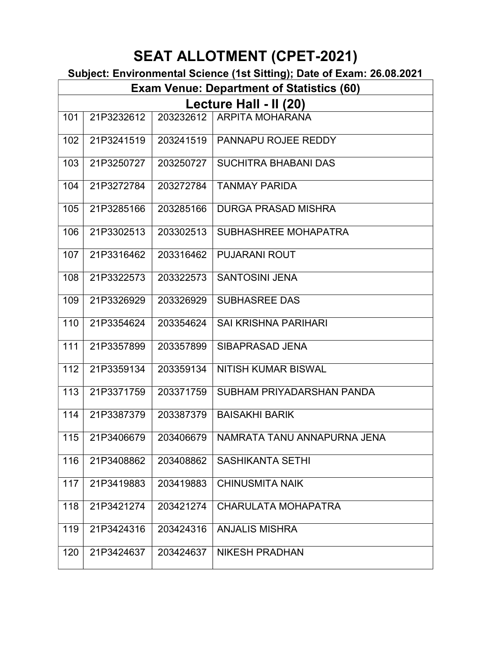### Subject: Environmental Science (1st Sitting); Date of Exam: 26.08.2021

|     | <b>Exam Venue: Department of Statistics (60)</b> |           |                                 |  |  |  |  |  |
|-----|--------------------------------------------------|-----------|---------------------------------|--|--|--|--|--|
|     | Lecture Hall - II (20)                           |           |                                 |  |  |  |  |  |
| 101 | 21P3232612                                       | 203232612 | ARPITA MOHARANA                 |  |  |  |  |  |
| 102 | 21P3241519                                       |           | 203241519   PANNAPU ROJEE REDDY |  |  |  |  |  |
| 103 | 21P3250727                                       | 203250727 | SUCHITRA BHABANI DAS            |  |  |  |  |  |
| 104 | 21P3272784                                       | 203272784 | <b>TANMAY PARIDA</b>            |  |  |  |  |  |
| 105 | 21P3285166                                       | 203285166 | <b>DURGA PRASAD MISHRA</b>      |  |  |  |  |  |
| 106 | 21P3302513                                       | 203302513 | SUBHASHREE MOHAPATRA            |  |  |  |  |  |
| 107 | 21P3316462                                       | 203316462 | <b>PUJARANI ROUT</b>            |  |  |  |  |  |
| 108 | 21P3322573                                       | 203322573 | <b>SANTOSINI JENA</b>           |  |  |  |  |  |
| 109 | 21P3326929                                       | 203326929 | <b>SUBHASREE DAS</b>            |  |  |  |  |  |
| 110 | 21P3354624                                       | 203354624 | <b>SAI KRISHNA PARIHARI</b>     |  |  |  |  |  |
| 111 | 21P3357899                                       | 203357899 | SIBAPRASAD JENA                 |  |  |  |  |  |
| 112 | 21P3359134                                       | 203359134 | NITISH KUMAR BISWAL             |  |  |  |  |  |
| 113 | 21P3371759                                       | 203371759 | SUBHAM PRIYADARSHAN PANDA       |  |  |  |  |  |
| 114 | 21P3387379                                       | 203387379 | <b>BAISAKHI BARIK</b>           |  |  |  |  |  |
| 115 | 21P3406679                                       | 203406679 | NAMRATA TANU ANNAPURNA JENA     |  |  |  |  |  |
| 116 | 21P3408862                                       | 203408862 | <b>SASHIKANTA SETHI</b>         |  |  |  |  |  |
| 117 | 21P3419883                                       | 203419883 | <b>CHINUSMITA NAIK</b>          |  |  |  |  |  |
| 118 | 21P3421274                                       | 203421274 | <b>CHARULATA MOHAPATRA</b>      |  |  |  |  |  |
| 119 | 21P3424316                                       | 203424316 | <b>ANJALIS MISHRA</b>           |  |  |  |  |  |
| 120 | 21P3424637                                       | 203424637 | <b>NIKESH PRADHAN</b>           |  |  |  |  |  |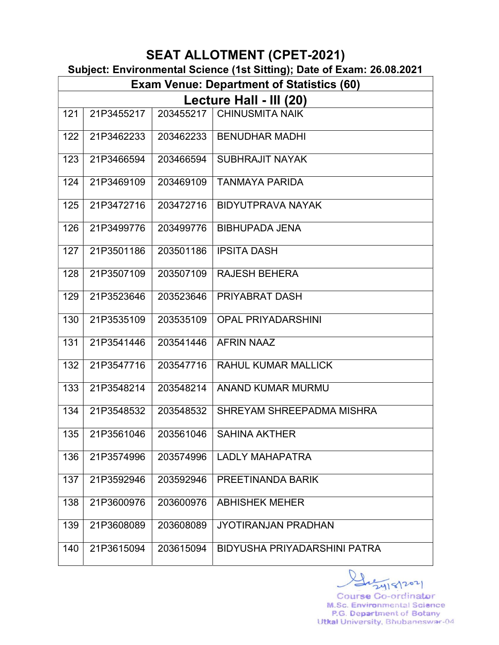|  | Subject: Environmental Science (1st Sitting); Date of Exam: 26.08.2021 |  |  |  |
|--|------------------------------------------------------------------------|--|--|--|
|  |                                                                        |  |  |  |

|     | <b>Exam Venue: Department of Statistics (60)</b> |           |                              |  |  |  |  |
|-----|--------------------------------------------------|-----------|------------------------------|--|--|--|--|
|     | Lecture Hall - III (20)                          |           |                              |  |  |  |  |
| 121 | 21P3455217                                       | 203455217 | <b>CHINUSMITA NAIK</b>       |  |  |  |  |
| 122 | 21P3462233                                       |           | 203462233   BENUDHAR MADHI   |  |  |  |  |
| 123 | 21P3466594                                       | 203466594 | <b>SUBHRAJIT NAYAK</b>       |  |  |  |  |
| 124 | 21P3469109                                       | 203469109 | <b>TANMAYA PARIDA</b>        |  |  |  |  |
| 125 | 21P3472716                                       | 203472716 | <b>BIDYUTPRAVA NAYAK</b>     |  |  |  |  |
| 126 | 21P3499776                                       | 203499776 | <b>BIBHUPADA JENA</b>        |  |  |  |  |
| 127 | 21P3501186                                       | 203501186 | <b>IPSITA DASH</b>           |  |  |  |  |
| 128 | 21P3507109                                       | 203507109 | <b>RAJESH BEHERA</b>         |  |  |  |  |
| 129 | 21P3523646                                       | 203523646 | PRIYABRAT DASH               |  |  |  |  |
| 130 | 21P3535109                                       | 203535109 | <b>OPAL PRIYADARSHINI</b>    |  |  |  |  |
| 131 | 21P3541446                                       | 203541446 | <b>AFRIN NAAZ</b>            |  |  |  |  |
| 132 | 21P3547716                                       | 203547716 | <b>RAHUL KUMAR MALLICK</b>   |  |  |  |  |
| 133 | 21P3548214                                       | 203548214 | <b>ANAND KUMAR MURMU</b>     |  |  |  |  |
| 134 | 21P3548532                                       | 203548532 | SHREYAM SHREEPADMA MISHRA    |  |  |  |  |
| 135 | 21P3561046                                       | 203561046 | <b>SAHINA AKTHER</b>         |  |  |  |  |
| 136 | 21P3574996                                       | 203574996 | <b>LADLY MAHAPATRA</b>       |  |  |  |  |
| 137 | 21P3592946                                       | 203592946 | PREETINANDA BARIK            |  |  |  |  |
| 138 | 21P3600976                                       | 203600976 | <b>ABHISHEK MEHER</b>        |  |  |  |  |
| 139 | 21P3608089                                       | 203608089 | <b>JYOTIRANJAN PRADHAN</b>   |  |  |  |  |
| 140 | 21P3615094                                       | 203615094 | BIDYUSHA PRIYADARSHINI PATRA |  |  |  |  |

2418/2021 Course Co-ordinator M.Sc. Environmental Science P.G. Department of Botany Utkal University, Bhubaneswar-04